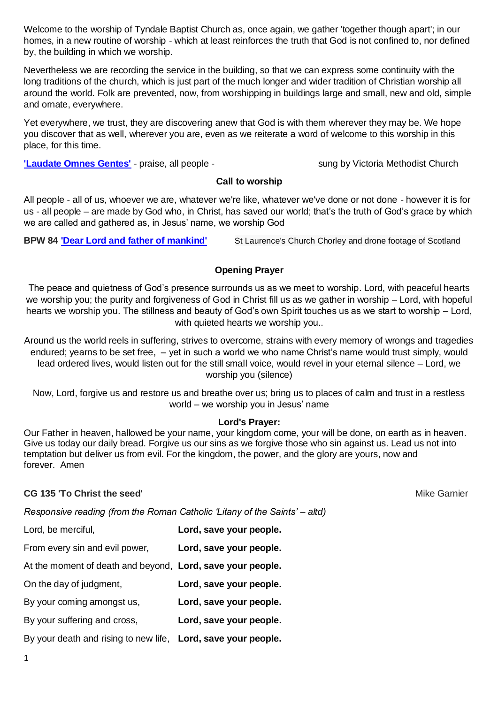Welcome to the worship of Tyndale Baptist Church as, once again, we gather 'together though apart'; in our homes, in a new routine of worship - which at least reinforces the truth that God is not confined to, nor defined by, the building in which we worship.

Nevertheless we are recording the service in the building, so that we can express some continuity with the long traditions of the church, which is just part of the much longer and wider tradition of Christian worship all around the world. Folk are prevented, now, from worshipping in buildings large and small, new and old, simple and ornate, everywhere.

Yet everywhere, we trust, they are discovering anew that God is with them wherever they may be. We hope you discover that as well, wherever you are, even as we reiterate a word of welcome to this worship in this place, for this time.

**Laudate Omnes Gentes'** - praise, all people - sung by Victoria Methodist Church

# **Call to worship**

All people - all of us, whoever we are, whatever we're like, whatever we've done or not done - however it is for us - all people – are made by God who, in Christ, has saved our world; that's the truth of God's grace by which we are called and gathered as, in Jesus' name, we worship God

**BPW 84 ['Dear Lord and father of mankind'](https://www.youtube.com/watch?v=YAxiN0egN-I)** St Laurence's Church Chorley and drone footage of Scotland

# **Opening Prayer**

The peace and quietness of God's presence surrounds us as we meet to worship. Lord, with peaceful hearts we worship you; the purity and forgiveness of God in Christ fill us as we gather in worship – Lord, with hopeful hearts we worship you. The stillness and beauty of God's own Spirit touches us as we start to worship – Lord, with quieted hearts we worship you..

Around us the world reels in suffering, strives to overcome, strains with every memory of wrongs and tragedies endured; yearns to be set free, – yet in such a world we who name Christ's name would trust simply, would lead ordered lives, would listen out for the still small voice, would revel in your eternal silence – Lord, we worship you (silence)

Now, Lord, forgive us and restore us and breathe over us; bring us to places of calm and trust in a restless world – we worship you in Jesus' name

## **Lord's Prayer:**

Our Father in heaven, hallowed be your name, your kingdom come, your will be done, on earth as in heaven. Give us today our daily bread. Forgive us our sins as we forgive those who sin against us. Lead us not into temptation but deliver us from evil. For the kingdom, the power, and the glory are yours, now and forever. Amen

## **CG 135 'To Christ the seed'** Mike Garnier and Mike Garnier and Mike Garnier and Mike Garnier and Mike Garnier and Mike Garnier and Mike Garnier and Mike Garnier and Mike Garnier and Mike Garnier and Mike Garnier and Mike

*Responsive reading (from the Roman Catholic 'Litany of the Saints' – altd)*

- Lord, be merciful, **Lord, save your people.**
- From every sin and evil power, **Lord, save your people.**

At the moment of death and beyond, **Lord, save your people.**

On the day of judgment, **Lord, save your people.**

- By your coming amongst us, **Lord, save your people.**
- By your suffering and cross, **Lord, save your people.**

By your death and rising to new life, **Lord, save your people.**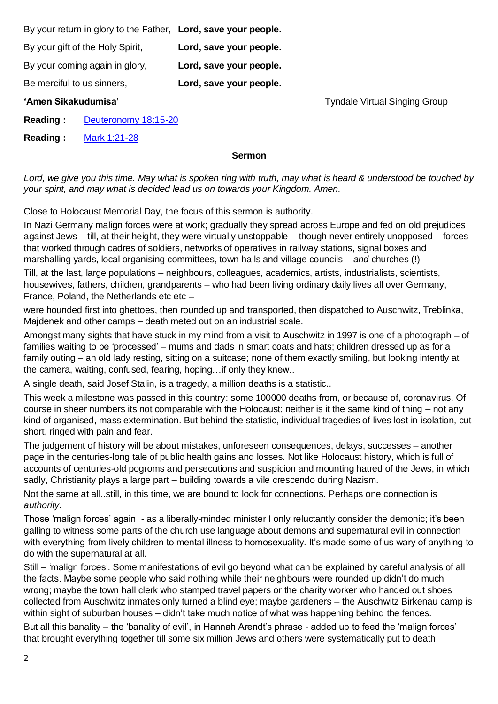By your return in glory to the Father, **Lord, save your people.** By your gift of the Holy Spirit, **Lord, save your people.** By your coming again in glory, **Lord, save your people.** Be merciful to us sinners, **Lord, save your people.**

**'Amen Sikakudumisa'** Tyndale Virtual Singing Group

**Reading :** [Deuteronomy 18:15-20](https://www.biblegateway.com/passage/?search=Deuteronomy+18%3A15-20&version=NRSVA)

**Reading :** [Mark 1:21-28](https://www.biblegateway.com/passage/?search=Mark+1%3A21-28&version=NRSVA)

#### **Sermon**

*Lord, we give you this time. May what is spoken ring with truth, may what is heard & understood be touched by your spirit, and may what is decided lead us on towards your Kingdom. Amen.*

Close to Holocaust Memorial Day, the focus of this sermon is authority.

In Nazi Germany malign forces were at work; gradually they spread across Europe and fed on old prejudices against Jews – till, at their height, they were virtually unstoppable – though never entirely unopposed – forces that worked through cadres of soldiers, networks of operatives in railway stations, signal boxes and marshalling yards, local organising committees, town halls and village councils – *and* churches (!) –

Till, at the last, large populations – neighbours, colleagues, academics, artists, industrialists, scientists, housewives, fathers, children, grandparents – who had been living ordinary daily lives all over Germany, France, Poland, the Netherlands etc etc –

were hounded first into ghettoes, then rounded up and transported, then dispatched to Auschwitz, Treblinka, Majdenek and other camps – death meted out on an industrial scale.

Amongst many sights that have stuck in my mind from a visit to Auschwitz in 1997 is one of a photograph – of families waiting to be 'processed' – mums and dads in smart coats and hats; children dressed up as for a family outing – an old lady resting, sitting on a suitcase; none of them exactly smiling, but looking intently at the camera, waiting, confused, fearing, hoping…if only they knew..

A single death, said Josef Stalin, is a tragedy, a million deaths is a statistic..

This week a milestone was passed in this country: some 100000 deaths from, or because of, coronavirus. Of course in sheer numbers its not comparable with the Holocaust; neither is it the same kind of thing – not any kind of organised, mass extermination. But behind the statistic, individual tragedies of lives lost in isolation, cut short, ringed with pain and fear.

The judgement of history will be about mistakes, unforeseen consequences, delays, successes – another page in the centuries-long tale of public health gains and losses. Not like Holocaust history, which is full of accounts of centuries-old pogroms and persecutions and suspicion and mounting hatred of the Jews, in which sadly, Christianity plays a large part – building towards a vile crescendo during Nazism.

Not the same at all..still, in this time, we are bound to look for connections. Perhaps one connection is *authority*.

Those 'malign forces' again - as a liberally-minded minister I only reluctantly consider the demonic; it's been galling to witness some parts of the church use language about demons and supernatural evil in connection with everything from lively children to mental illness to homosexuality. It's made some of us wary of anything to do with the supernatural at all.

Still – 'malign forces'. Some manifestations of evil go beyond what can be explained by careful analysis of all the facts. Maybe some people who said nothing while their neighbours were rounded up didn't do much wrong; maybe the town hall clerk who stamped travel papers or the charity worker who handed out shoes collected from Auschwitz inmates only turned a blind eye; maybe gardeners – the Auschwitz Birkenau camp is within sight of suburban houses – didn't take much notice of what was happening behind the fences.

But all this banality – the 'banality of evil', in Hannah Arendt's phrase - added up to feed the 'malign forces' that brought everything together till some six million Jews and others were systematically put to death.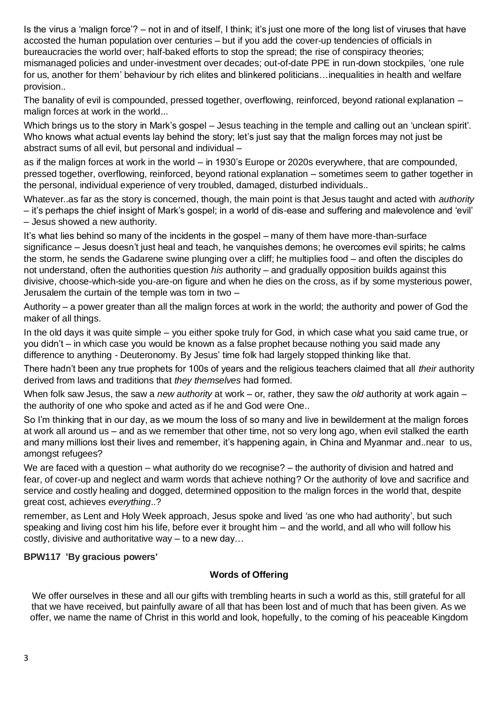Is the virus a 'malign force'? – not in and of itself, I think; it's just one more of the long list of viruses that have accosted the human population over centuries – but if you add the cover-up tendencies of officials in bureaucracies the world over; half-baked efforts to stop the spread; the rise of conspiracy theories; mismanaged policies and under-investment over decades; out-of-date PPE in run-down stockpiles, 'one rule for us, another for them' behaviour by rich elites and blinkered politicians…inequalities in health and welfare provision..

The banality of evil is compounded, pressed together, overflowing, reinforced, beyond rational explanation – malign forces at work in the world...

Which brings us to the story in Mark's gospel – Jesus teaching in the temple and calling out an 'unclean spirit'. Who knows what actual events lay behind the story; let's just say that the malign forces may not just be abstract sums of all evil, but personal and individual –

as if the malign forces at work in the world – in 1930's Europe or 2020s everywhere, that are compounded, pressed together, overflowing, reinforced, beyond rational explanation – sometimes seem to gather together in the personal, individual experience of very troubled, damaged, disturbed individuals..

Whatever..as far as the story is concerned, though, the main point is that Jesus taught and acted with *authority –* it's perhaps the chief insight of Mark's gospel; in a world of dis-ease and suffering and malevolence and 'evil' – Jesus showed a new authority.

It's what lies behind so many of the incidents in the gospel – many of them have more-than-surface significance – Jesus doesn't just heal and teach, he vanquishes demons; he overcomes evil spirits; he calms the storm, he sends the Gadarene swine plunging over a cliff; he multiplies food – and often the disciples do not understand, often the authorities question *his* authority – and gradually opposition builds against this divisive, choose-which-side you-are-on figure and when he dies on the cross, as if by some mysterious power, Jerusalem the curtain of the temple was torn in two –

Authority – a power greater than all the malign forces at work in the world; the authority and power of God the maker of all things.

In the old days it was quite simple – you either spoke truly for God, in which case what you said came true, or you didn't – in which case you would be known as a false prophet because nothing you said made any difference to anything - Deuteronomy. By Jesus' time folk had largely stopped thinking like that.

There hadn't been any true prophets for 100s of years and the religious teachers claimed that all *their* authority derived from laws and traditions that *they themselves* had formed.

When folk saw Jesus, the saw a *new authority* at work – or, rather, they saw the *old* authority at work again – the authority of one who spoke and acted as if he and God were One..

So I'm thinking that in our day, as we mourn the loss of so many and live in bewilderment at the malign forces at work all around us – and as we remember that other time, not so very long ago, when evil stalked the earth and many millions lost their lives and remember, it's happening again, in China and Myanmar and..near to us, amongst refugees?

We are faced with a question – what authority do we recognise? – the authority of division and hatred and fear, of cover-up and neglect and warm words that achieve nothing? Or the authority of love and sacrifice and service and costly healing and dogged, determined opposition to the malign forces in the world that, despite great cost, achieves *everything*..?

remember, as Lent and Holy Week approach, Jesus spoke and lived 'as one who had authority', but such speaking and living cost him his life, before ever it brought him – and the world, and all who will follow his costly, divisive and authoritative way – to a new day…

## **BPW117 'By gracious powers'**

## **Words of Offering**

We offer ourselves in these and all our gifts with trembling hearts in such a world as this, still grateful for all that we have received, but painfully aware of all that has been lost and of much that has been given. As we offer, we name the name of Christ in this world and look, hopefully, to the coming of his peaceable Kingdom